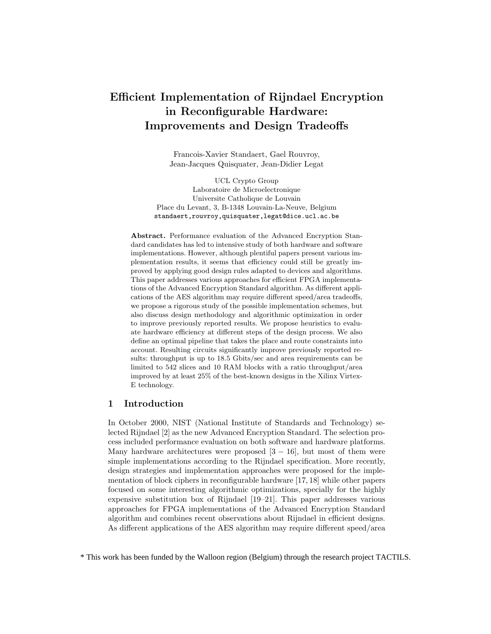# Efficient Implementation of Rijndael Encryption in Reconfigurable Hardware: Improvements and Design Tradeoffs

Francois-Xavier Standaert, Gael Rouvroy, Jean-Jacques Quisquater, Jean-Didier Legat

UCL Crypto Group Laboratoire de Microelectronique Universite Catholique de Louvain Place du Levant, 3, B-1348 Louvain-La-Neuve, Belgium standaert,rouvroy,quisquater,legat@dice.ucl.ac.be

Abstract. Performance evaluation of the Advanced Encryption Standard candidates has led to intensive study of both hardware and software implementations. However, although plentiful papers present various implementation results, it seems that efficiency could still be greatly improved by applying good design rules adapted to devices and algorithms. This paper addresses various approaches for efficient FPGA implementations of the Advanced Encryption Standard algorithm. As different applications of the AES algorithm may require different speed/area tradeoffs, we propose a rigorous study of the possible implementation schemes, but also discuss design methodology and algorithmic optimization in order to improve previously reported results. We propose heuristics to evaluate hardware efficiency at different steps of the design process. We also define an optimal pipeline that takes the place and route constraints into account. Resulting circuits significantly improve previously reported results: throughput is up to 18.5 Gbits/sec and area requirements can be limited to 542 slices and 10 RAM blocks with a ratio throughput/area improved by at least 25% of the best-known designs in the Xilinx Virtex-E technology.

## 1 Introduction

In October 2000, NIST (National Institute of Standards and Technology) selected Rijndael [2] as the new Advanced Encryption Standard. The selection process included performance evaluation on both software and hardware platforms. Many hardware architectures were proposed  $[3 - 16]$ , but most of them were simple implementations according to the Rijndael specification. More recently, design strategies and implementation approaches were proposed for the implementation of block ciphers in reconfigurable hardware [17, 18] while other papers focused on some interesting algorithmic optimizations, specially for the highly expensive substitution box of Rijndael [19–21]. This paper addresses various approaches for FPGA implementations of the Advanced Encryption Standard algorithm and combines recent observations about Rijndael in efficient designs. As different applications of the AES algorithm may require different speed/area

\* This work has been funded by the Walloon region (Belgium) through the research project TACTILS.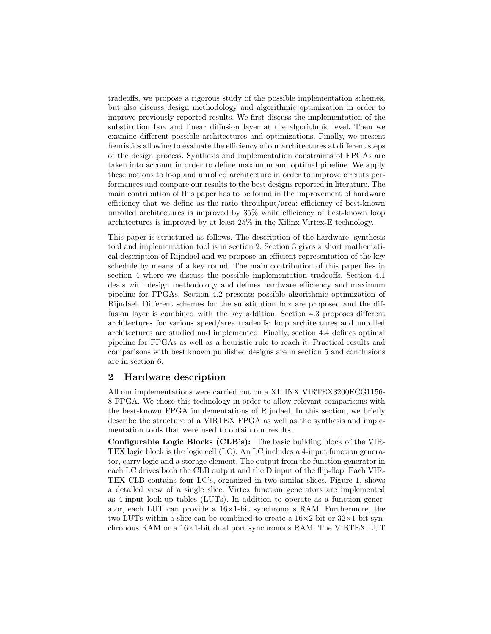tradeoffs, we propose a rigorous study of the possible implementation schemes, but also discuss design methodology and algorithmic optimization in order to improve previously reported results. We first discuss the implementation of the substitution box and linear diffusion layer at the algorithmic level. Then we examine different possible architectures and optimizations. Finally, we present heuristics allowing to evaluate the efficiency of our architectures at different steps of the design process. Synthesis and implementation constraints of FPGAs are taken into account in order to define maximum and optimal pipeline. We apply these notions to loop and unrolled architecture in order to improve circuits performances and compare our results to the best designs reported in literature. The main contribution of this paper has to be found in the improvement of hardware efficiency that we define as the ratio throuhput/area: efficiency of best-known unrolled architectures is improved by 35% while efficiency of best-known loop architectures is improved by at least 25% in the Xilinx Virtex-E technology.

This paper is structured as follows. The description of the hardware, synthesis tool and implementation tool is in section 2. Section 3 gives a short mathematical description of Rijndael and we propose an efficient representation of the key schedule by means of a key round. The main contribution of this paper lies in section 4 where we discuss the possible implementation tradeoffs. Section 4.1 deals with design methodology and defines hardware efficiency and maximum pipeline for FPGAs. Section 4.2 presents possible algorithmic optimization of Rijndael. Different schemes for the substitution box are proposed and the diffusion layer is combined with the key addition. Section 4.3 proposes different architectures for various speed/area tradeoffs: loop architectures and unrolled architectures are studied and implemented. Finally, section 4.4 defines optimal pipeline for FPGAs as well as a heuristic rule to reach it. Practical results and comparisons with best known published designs are in section 5 and conclusions are in section 6.

## 2 Hardware description

All our implementations were carried out on a XILINX VIRTEX3200ECG1156- 8 FPGA. We chose this technology in order to allow relevant comparisons with the best-known FPGA implementations of Rijndael. In this section, we briefly describe the structure of a VIRTEX FPGA as well as the synthesis and implementation tools that were used to obtain our results.

Configurable Logic Blocks (CLB's): The basic building block of the VIR-TEX logic block is the logic cell (LC). An LC includes a 4-input function generator, carry logic and a storage element. The output from the function generator in each LC drives both the CLB output and the D input of the flip-flop. Each VIR-TEX CLB contains four LC's, organized in two similar slices. Figure 1, shows a detailed view of a single slice. Virtex function generators are implemented as 4-input look-up tables (LUTs). In addition to operate as a function generator, each LUT can provide a  $16\times1$ -bit synchronous RAM. Furthermore, the two LUTs within a slice can be combined to create a  $16\times2$ -bit or  $32\times1$ -bit synchronous RAM or a 16×1-bit dual port synchronous RAM. The VIRTEX LUT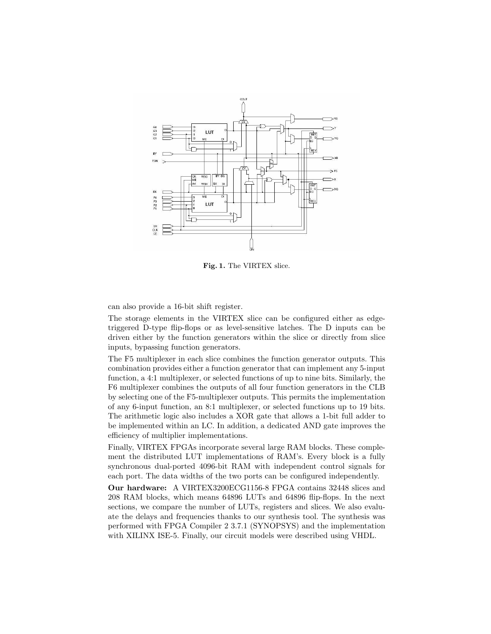

Fig. 1. The VIRTEX slice.

can also provide a 16-bit shift register.

The storage elements in the VIRTEX slice can be configured either as edgetriggered D-type flip-flops or as level-sensitive latches. The D inputs can be driven either by the function generators within the slice or directly from slice inputs, bypassing function generators.

The F5 multiplexer in each slice combines the function generator outputs. This combination provides either a function generator that can implement any 5-input function, a 4:1 multiplexer, or selected functions of up to nine bits. Similarly, the F6 multiplexer combines the outputs of all four function generators in the CLB by selecting one of the F5-multiplexer outputs. This permits the implementation of any 6-input function, an 8:1 multiplexer, or selected functions up to 19 bits. The arithmetic logic also includes a XOR gate that allows a 1-bit full adder to be implemented within an LC. In addition, a dedicated AND gate improves the efficiency of multiplier implementations.

Finally, VIRTEX FPGAs incorporate several large RAM blocks. These complement the distributed LUT implementations of RAM's. Every block is a fully synchronous dual-ported 4096-bit RAM with independent control signals for each port. The data widths of the two ports can be configured independently.

Our hardware: A VIRTEX3200ECG1156-8 FPGA contains 32448 slices and 208 RAM blocks, which means 64896 LUTs and 64896 flip-flops. In the next sections, we compare the number of LUTs, registers and slices. We also evaluate the delays and frequencies thanks to our synthesis tool. The synthesis was performed with FPGA Compiler 2 3.7.1 (SYNOPSYS) and the implementation with XILINX ISE-5. Finally, our circuit models were described using VHDL.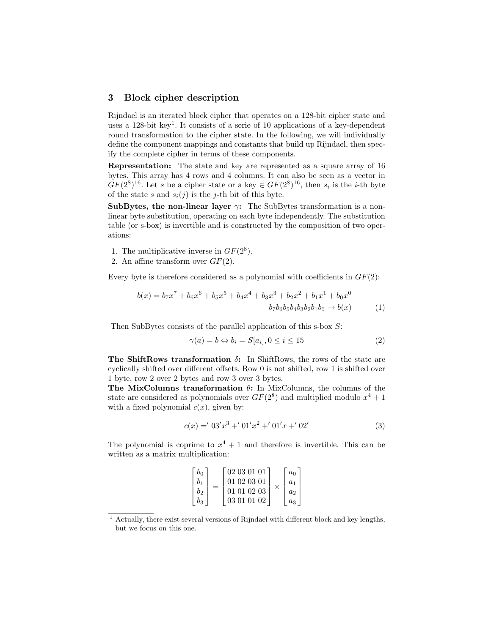#### 3 Block cipher description

Rijndael is an iterated block cipher that operates on a 128-bit cipher state and uses a 128-bit key<sup>1</sup>. It consists of a serie of 10 applications of a key-dependent round transformation to the cipher state. In the following, we will individually define the component mappings and constants that build up Rijndael, then specify the complete cipher in terms of these components.

Representation: The state and key are represented as a square array of 16 bytes. This array has 4 rows and 4 columns. It can also be seen as a vector in  $GF(2^8)^{16}$ . Let s be a cipher state or a key  $\in GF(2^8)^{16}$ , then  $s_i$  is the *i*-th byte of the state s and  $s_i(j)$  is the j-th bit of this byte.

SubBytes, the non-linear layer  $\gamma$ : The SubBytes transformation is a nonlinear byte substitution, operating on each byte independently. The substitution table (or s-box) is invertible and is constructed by the composition of two operations:

- 1. The multiplicative inverse in  $GF(2^8)$ .
- 2. An affine transform over  $GF(2)$ .

Every byte is therefore considered as a polynomial with coefficients in  $GF(2)$ :

$$
b(x) = b_7x^7 + b_6x^6 + b_5x^5 + b_4x^4 + b_3x^3 + b_2x^2 + b_1x^1 + b_0x^0
$$
  

$$
b_7b_6b_5b_4b_3b_2b_1b_0 \rightarrow b(x)
$$
 (1)

Then SubBytes consists of the parallel application of this s-box S:

$$
\gamma(a) = b \Leftrightarrow b_i = S[a_i], 0 \le i \le 15 \tag{2}
$$

The ShiftRows transformation  $\delta$ : In ShiftRows, the rows of the state are cyclically shifted over different offsets. Row 0 is not shifted, row 1 is shifted over 1 byte, row 2 over 2 bytes and row 3 over 3 bytes.

The MixColumns transformation  $\theta$ : In MixColumns, the columns of the state are considered as polynomials over  $GF(2^8)$  and multiplied modulo  $x^4 + 1$ with a fixed polynomial  $c(x)$ , given by:

$$
c(x) = 0.3'x^3 + 0.1'x^2 + 0.1'x + 0.2'
$$
\n(3)

The polynomial is coprime to  $x^4 + 1$  and therefore is invertible. This can be written as a matrix multiplication:

|  | [02 03 01 01]    | $a_0$ |  |
|--|------------------|-------|--|
|  | 01 02 03 01      |       |  |
|  | $01\;01\;02\;03$ |       |  |
|  | 03010102         |       |  |

 $1$  Actually, there exist several versions of Rijndael with different block and key lengths, but we focus on this one.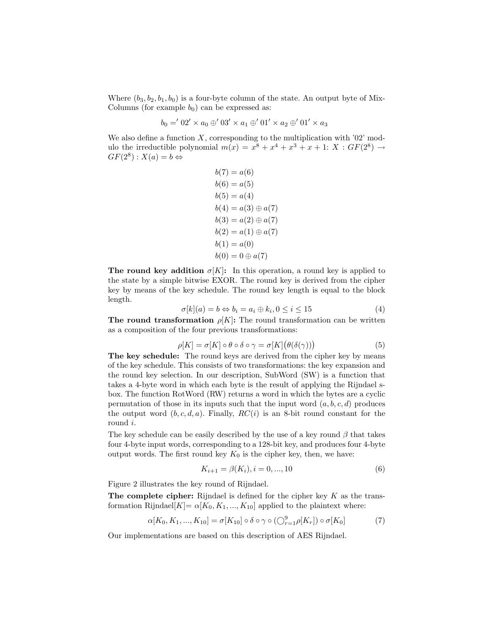Where  $(b_3, b_2, b_1, b_0)$  is a four-byte column of the state. An output byte of Mix-Columns (for example  $b_0$ ) can be expressed as:

$$
b_0 = '02' \times a_0 \oplus '03' \times a_1 \oplus '01' \times a_2 \oplus '01' \times a_3
$$

We also define a function  $X$ , corresponding to the multiplication with '02' modulo the irreductible polynomial  $m(x) = x^8 + x^4 + x^3 + x + 1$ :  $X : GF(2^8) \rightarrow$  $GF(2^8) : X(a) = b \Leftrightarrow$ 

$$
b(7) = a(6)
$$
  
\n
$$
b(6) = a(5)
$$
  
\n
$$
b(5) = a(4)
$$
  
\n
$$
b(4) = a(3) \oplus a(7)
$$
  
\n
$$
b(3) = a(2) \oplus a(7)
$$
  
\n
$$
b(2) = a(1) \oplus a(7)
$$
  
\n
$$
b(1) = a(0)
$$
  
\n
$$
b(0) = 0 \oplus a(7)
$$

**The round key addition**  $\sigma[K]$ : In this operation, a round key is applied to the state by a simple bitwise EXOR. The round key is derived from the cipher key by means of the key schedule. The round key length is equal to the block length.

$$
\sigma[k](a) = b \Leftrightarrow b_i = a_i \oplus k_i, 0 \le i \le 15 \tag{4}
$$

The round transformation  $\rho[K]$ : The round transformation can be written as a composition of the four previous transformations:

$$
\rho[K] = \sigma[K] \circ \theta \circ \delta \circ \gamma = \sigma[K] \big( \theta(\delta(\gamma)) \big) \tag{5}
$$

The key schedule: The round keys are derived from the cipher key by means of the key schedule. This consists of two transformations: the key expansion and the round key selection. In our description, SubWord (SW) is a function that takes a 4-byte word in which each byte is the result of applying the Rijndael sbox. The function RotWord (RW) returns a word in which the bytes are a cyclic permutation of those in its inputs such that the input word  $(a, b, c, d)$  produces the output word  $(b, c, d, a)$ . Finally,  $RC(i)$  is an 8-bit round constant for the round i.

The key schedule can be easily described by the use of a key round  $\beta$  that takes four 4-byte input words, corresponding to a 128-bit key, and produces four 4-byte output words. The first round key  $K_0$  is the cipher key, then, we have:

$$
K_{i+1} = \beta(K_i), i = 0, ..., 10
$$
\n(6)

Figure 2 illustrates the key round of Rijndael.

The complete cipher: Rijndael is defined for the cipher key  $K$  as the transformation Rijndael[ $K$ ]=  $\alpha$ [ $K_0, K_1, ..., K_{10}$ ] applied to the plaintext where:

$$
\alpha[K_0, K_1, ..., K_{10}] = \sigma[K_{10}] \circ \delta \circ \gamma \circ (\bigcirc_{r=1}^{9} \rho[K_r]) \circ \sigma[K_0]
$$
 (7)

Our implementations are based on this description of AES Rijndael.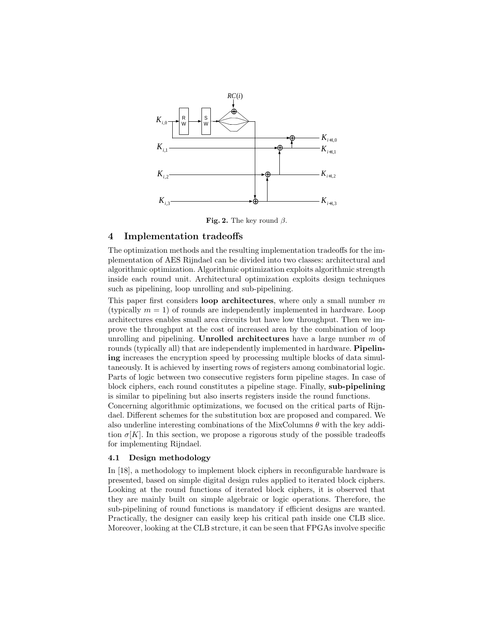

Fig. 2. The key round  $\beta$ .

#### 4 Implementation tradeoffs

The optimization methods and the resulting implementation tradeoffs for the implementation of AES Rijndael can be divided into two classes: architectural and algorithmic optimization. Algorithmic optimization exploits algorithmic strength inside each round unit. Architectural optimization exploits design techniques such as pipelining, loop unrolling and sub-pipelining.

This paper first considers **loop architectures**, where only a small number  $m$ (typically  $m = 1$ ) of rounds are independently implemented in hardware. Loop architectures enables small area circuits but have low throughput. Then we improve the throughput at the cost of increased area by the combination of loop unrolling and pipelining. Unrolled architectures have a large number  $m$  of rounds (typically all) that are independently implemented in hardware. **Pipelin**ing increases the encryption speed by processing multiple blocks of data simultaneously. It is achieved by inserting rows of registers among combinatorial logic. Parts of logic between two consecutive registers form pipeline stages. In case of block ciphers, each round constitutes a pipeline stage. Finally, sub-pipelining is similar to pipelining but also inserts registers inside the round functions. Concerning algorithmic optimizations, we focused on the critical parts of Rijndael. Different schemes for the substitution box are proposed and compared. We also underline interesting combinations of the MixColumns  $\theta$  with the key addition  $\sigma[K]$ . In this section, we propose a rigorous study of the possible tradeoffs

for implementing Rijndael.

## 4.1 Design methodology

In [18], a methodology to implement block ciphers in reconfigurable hardware is presented, based on simple digital design rules applied to iterated block ciphers. Looking at the round functions of iterated block ciphers, it is observed that they are mainly built on simple algebraic or logic operations. Therefore, the sub-pipelining of round functions is mandatory if efficient designs are wanted. Practically, the designer can easily keep his critical path inside one CLB slice. Moreover, looking at the CLB strcture, it can be seen that FPGAs involve specific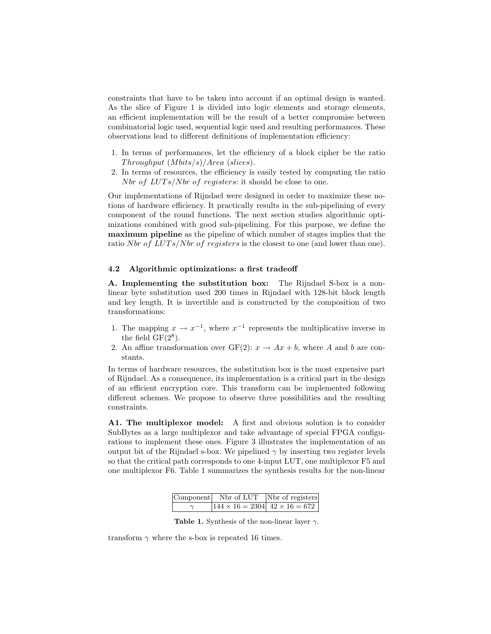constraints that have to be taken into account if an optimal design is wanted. As the slice of Figure 1 is divided into logic elements and storage elements, an efficient implementation will be the result of a better compromise between combinatorial logic used, sequential logic used and resulting performances. These observations lead to different definitions of implementation efficiency:

- 1. In terms of performances, let the efficiency of a block cipher be the ratio  $Throughout (Mbits/s)/Area (slices).$
- 2. In terms of resources, the efficiency is easily tested by computing the ratio Nbr of  $LUTs/Nbr$  of registers: it should be close to one.

Our implementations of Rijndael were designed in order to maximize these notions of hardware efficiency. It practically results in the sub-pipelining of every component of the round functions. The next section studies algorithmic optimizations combined with good sub-pipelining. For this purpose, we define the maximum pipeline as the pipeline of which number of stages implies that the ratio N br of  $LUTs/N$  br of registers is the closest to one (and lower than one).

#### 4.2 Algorithmic optimizations: a first tradeoff

A. Implementing the substitution box: The Rijndael S-box is a nonlinear byte substitution used 200 times in Rijndael with 128-bit block length and key length. It is invertible and is constructed by the composition of two transformations:

- 1. The mapping  $x \to x^{-1}$ , where  $x^{-1}$  represents the multiplicative inverse in the field  $GF(2^8)$ .
- 2. An affine transformation over  $GF(2): x \to Ax + b$ , where A and b are constants.

In terms of hardware resources, the substitution box is the most expensive part of Rijndael. As a consequence, its implementation is a critical part in the design of an efficient encryption core. This transform can be implemented following different schemes. We propose to observe three possibilities and the resulting constraints.

A1. The multiplexor model: A first and obvious solution is to consider SubBytes as a large multiplexor and take advantage of special FPGA configurations to implement these ones. Figure 3 illustrates the implementation of an output bit of the Rijndael s-box. We pipelined  $\gamma$  by inserting two register levels so that the critical path corresponds to one 4-input LUT, one multiplexor F5 and one multiplexor F6. Table 1 summarizes the synthesis results for the non-linear

| Component Nbr of LUT Nbr of registers       |  |
|---------------------------------------------|--|
| $144 \times 16 = 2304$ $42 \times 16 = 672$ |  |

**Table 1.** Synthesis of the non-linear layer  $\gamma$ .

transform  $\gamma$  where the s-box is repeated 16 times.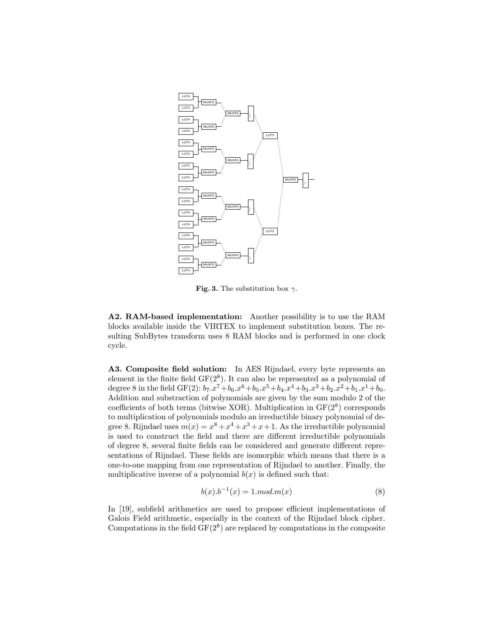

**Fig. 3.** The substitution box  $\gamma$ .

A2. RAM-based implementation: Another possibility is to use the RAM blocks available inside the VIRTEX to implement substitution boxes. The resulting SubBytes transform uses 8 RAM blocks and is performed in one clock cycle.

A3. Composite field solution: In AES Rijndael, every byte represents an element in the finite field  $GF(2^8)$ . It can also be represented as a polynomial of degree 8 in the field GF(2):  $b_7.x^7 + b_6.x^6 + b_5.x^5 + b_4.x^4 + b_3.x^3 + b_2.x^2 + b_1.x^1 + b_0.$ Addition and substraction of polynomials are given by the sum modulo 2 of the coefficients of both terms (bitwise XOR). Multiplication in  $GF(2^8)$  corresponds to multiplication of polynomials modulo an irreductible binary polynomial of degree 8. Rijndael uses  $m(x) = x^8 + x^4 + x^3 + x + 1$ . As the irreductible polynomial is used to construct the field and there are different irreductible polynomials of degree 8, several finite fields can be considered and generate different representations of Rijndael. These fields are isomorphic which means that there is a one-to-one mapping from one representation of Rijndael to another. Finally, the multiplicative inverse of a polynomial  $b(x)$  is defined such that:

$$
b(x).b^{-1}(x) = 1 \cdot mod \cdot m(x) \tag{8}
$$

In [19], subfield arithmetics are used to propose efficient implementations of Galois Field arithmetic, especially in the context of the Rijndael block cipher. Computations in the field  $GF(2^8)$  are replaced by computations in the composite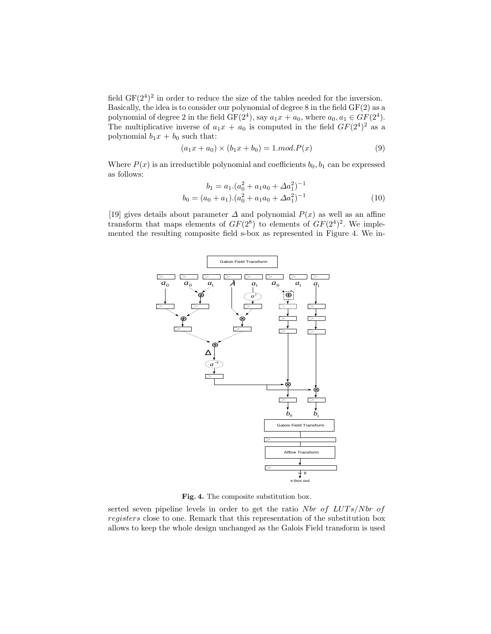field  $GF(2^4)^2$  in order to reduce the size of the tables needed for the inversion. Basically, the idea is to consider our polynomial of degree 8 in the field GF(2) as a polynomial of degree 2 in the field  $GF(2^4)$ , say  $a_1x + a_0$ , where  $a_0, a_1 \in GF(2^4)$ . The multiplicative inverse of  $a_1x + a_0$  is computed in the field  $GF(2^4)^2$  as a polynomial  $b_1x + b_0$  such that:

$$
(a_1x + a_0) \times (b_1x + b_0) = 1 \mod P(x)
$$
\n(9)

Where  $P(x)$  is an irreductible polynomial and coefficients  $b_0, b_1$  can be expressed as follows:

$$
b_1 = a_1 \cdot (a_0^2 + a_1 a_0 + \Delta a_1^2)^{-1}
$$
  

$$
b_0 = (a_0 + a_1) \cdot (a_0^2 + a_1 a_0 + \Delta a_1^2)^{-1}
$$
 (10)

[19] gives details about parameter  $\Delta$  and polynomial  $P(x)$  as well as an affine transform that maps elements of  $GF(2^8)$  to elements of  $GF(2^4)^2$ . We implemented the resulting composite field s-box as represented in Figure 4. We in-



Fig. 4. The composite substitution box.

serted seven pipeline levels in order to get the ratio Nbr of  $LUTs/Nbr$  of registers close to one. Remark that this representation of the substitution box allows to keep the whole design unchanged as the Galois Field transform is used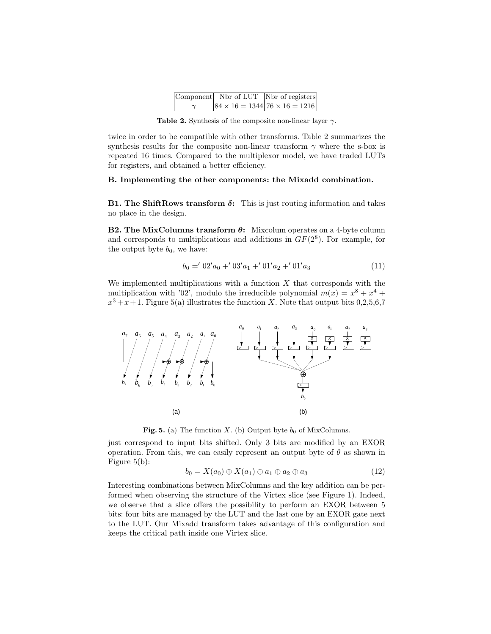|  | Component Nbr of LUT Nbr of registers                |
|--|------------------------------------------------------|
|  | $84 \times 16 = 1344 \overline{76 \times 16} = 1216$ |

Table 2. Synthesis of the composite non-linear layer  $\gamma$ .

twice in order to be compatible with other transforms. Table 2 summarizes the synthesis results for the composite non-linear transform  $\gamma$  where the s-box is repeated 16 times. Compared to the multiplexor model, we have traded LUTs for registers, and obtained a better efficiency.

## B. Implementing the other components: the Mixadd combination.

**B1.** The ShiftRows transform  $\delta$ : This is just routing information and takes no place in the design.

**B2. The MixColumns transform**  $\theta$ **:** Mixcolum operates on a 4-byte column and corresponds to multiplications and additions in  $GF(2<sup>8</sup>)$ . For example, for the output byte  $b_0$ , we have:

$$
b_0 = 0' 02' a_0 + 0' 03' a_1 + 0' 01' a_2 + 0' 01' a_3 \tag{11}
$$

We implemented multiplications with a function  $X$  that corresponds with the multiplication with '02', modulo the irreducible polynomial  $m(x) = x^8 + x^4 +$  $x^3 + x + 1$ . Figure 5(a) illustrates the function X. Note that output bits 0,2,5,6,7



Fig. 5. (a) The function X. (b) Output byte  $b_0$  of MixColumns.

just correspond to input bits shifted. Only 3 bits are modified by an EXOR operation. From this, we can easily represent an output byte of  $\theta$  as shown in Figure 5(b):

$$
b_0 = X(a_0) \oplus X(a_1) \oplus a_1 \oplus a_2 \oplus a_3 \tag{12}
$$

Interesting combinations between MixColumns and the key addition can be performed when observing the structure of the Virtex slice (see Figure 1). Indeed, we observe that a slice offers the possibility to perform an EXOR between 5 bits: four bits are managed by the LUT and the last one by an EXOR gate next to the LUT. Our Mixadd transform takes advantage of this configuration and keeps the critical path inside one Virtex slice.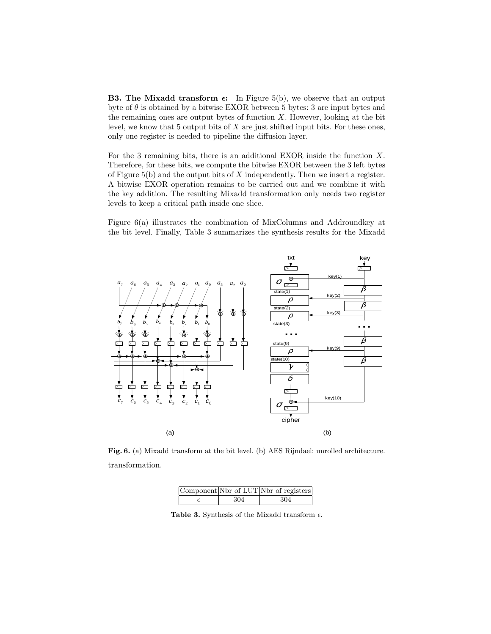**B3. The Mixadd transform**  $\epsilon$ **:** In Figure 5(b), we observe that an output byte of  $\theta$  is obtained by a bitwise EXOR between 5 bytes: 3 are input bytes and the remaining ones are output bytes of function  $X$ . However, looking at the bit level, we know that 5 output bits of  $X$  are just shifted input bits. For these ones, only one register is needed to pipeline the diffusion layer.

For the 3 remaining bits, there is an additional EXOR inside the function  $X$ . Therefore, for these bits, we compute the bitwise EXOR between the 3 left bytes of Figure  $5(b)$  and the output bits of X independently. Then we insert a register. A bitwise EXOR operation remains to be carried out and we combine it with the key addition. The resulting Mixadd transformation only needs two register levels to keep a critical path inside one slice.

Figure 6(a) illustrates the combination of MixColumns and Addroundkey at the bit level. Finally, Table 3 summarizes the synthesis results for the Mixadd



Fig. 6. (a) Mixadd transform at the bit level. (b) AES Rijndael: unrolled architecture. transformation.

|     | Component Nbr of LUT Nbr of registers |
|-----|---------------------------------------|
| 304 | 304                                   |

Table 3. Synthesis of the Mixadd transform  $\epsilon$ .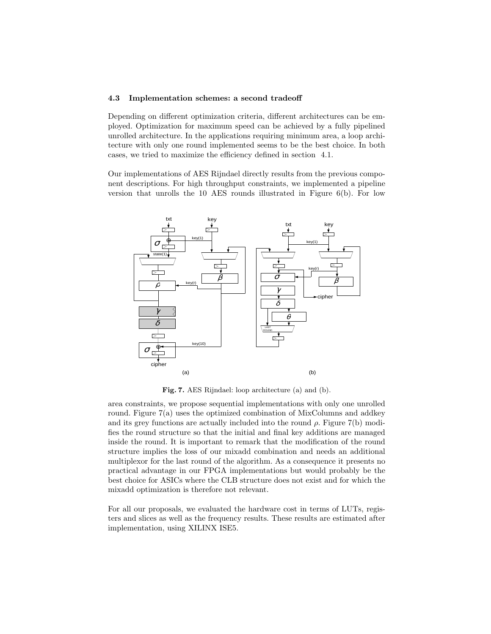#### 4.3 Implementation schemes: a second tradeoff

Depending on different optimization criteria, different architectures can be employed. Optimization for maximum speed can be achieved by a fully pipelined unrolled architecture. In the applications requiring minimum area, a loop architecture with only one round implemented seems to be the best choice. In both cases, we tried to maximize the efficiency defined in section 4.1.

Our implementations of AES Rijndael directly results from the previous component descriptions. For high throughput constraints, we implemented a pipeline version that unrolls the 10 AES rounds illustrated in Figure 6(b). For low



Fig. 7. AES Rijndael: loop architecture (a) and (b).

area constraints, we propose sequential implementations with only one unrolled round. Figure 7(a) uses the optimized combination of MixColumns and addkey and its grey functions are actually included into the round  $\rho$ . Figure 7(b) modifies the round structure so that the initial and final key additions are managed inside the round. It is important to remark that the modification of the round structure implies the loss of our mixadd combination and needs an additional multiplexor for the last round of the algorithm. As a consequence it presents no practical advantage in our FPGA implementations but would probably be the best choice for ASICs where the CLB structure does not exist and for which the mixadd optimization is therefore not relevant.

For all our proposals, we evaluated the hardware cost in terms of LUTs, registers and slices as well as the frequency results. These results are estimated after implementation, using XILINX ISE5.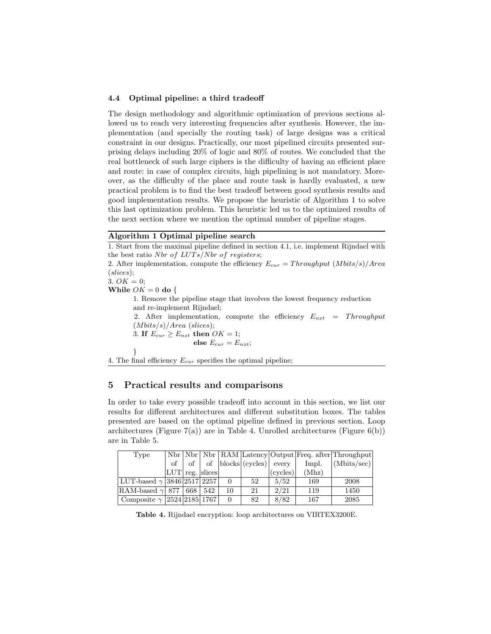#### 4.4 Optimal pipeline: a third tradeoff

The design methodology and algorithmic optimization of previous sections allowed us to reach very interesting frequencies after synthesis. However, the implementation (and specially the routing task) of large designs was a critical constraint in our designs. Practically, our most pipelined circuits presented surprising delays including 20% of logic and 80% of routes. We concluded that the real bottleneck of such large ciphers is the difficulty of having an efficient place and route: in case of complex circuits, high pipelining is not mandatory. Moreover, as the difficulty of the place and route task is hardly evaluated, a new practical problem is to find the best tradeoff between good synthesis results and good implementation results. We propose the heuristic of Algorithm 1 to solve this last optimization problem. This heuristic led us to the optimized results of the next section where we mention the optimal number of pipeline stages.

#### Algorithm 1 Optimal pipeline search

1. Start from the maximal pipeline defined in section 4.1, i.e. implement Rijndael with the best ratio Nbr of  $LUTs/Nbr$  of registers; 2. After implementation, compute the efficiency  $E_{cur} = Throughput (Mbits/s)/Area$ (slices); 3.  $OK = 0$ ; While  $OK = 0$  do { 1. Remove the pipeline stage that involves the lowest frequency reduction and re-implement Rijndael; 2. After implementation, compute the efficiency  $E_{nxt} = Throught$  $(Mbits/s)/Area$  (slices); 3. If  $E_{cur} \ge E_{nxt}$  then  $OK = 1$ ; else  $E_{cur} = E_{nxt}$ ; } 4. The final efficiency  $E_{cur}$  specifies the optimal pipeline;

## 5 Practical results and comparisons

In order to take every possible tradeoff into account in this section, we list our results for different architectures and different substitution boxes. The tables presented are based on the optimal pipeline defined in previous section. Loop architectures (Figure 7(a)) are in Table 4. Unrolled architectures (Figure 6(b)) are in Table 5.

| Type                              |    |     |                    |    |                          |          |       | Nbr   Nbr   Nbr   RAM Latency   Output   Freq. after   Throughput |
|-----------------------------------|----|-----|--------------------|----|--------------------------|----------|-------|-------------------------------------------------------------------|
|                                   | of | of  | of                 |    | blocks  (cycles)   every |          | Impl. | (Mbits/sec)                                                       |
|                                   |    |     | $ LUT $ reg. $ s $ |    |                          | (cycles) | (Mhz) |                                                                   |
| LUT-based $\gamma$ 3846 2517 2257 |    |     |                    |    | 52                       | 5/52     | 169   | 2008                                                              |
| RAM-based $\gamma$ 877            |    | 668 | 542                | 10 | 21                       | 2/21     | 119   | 1450                                                              |
| Composite $\gamma$ 2524 2185 1767 |    |     |                    |    | 82                       | 8/82     | 167   | 2085                                                              |

Table 4. Rijndael encryption: loop architectures on VIRTEX3200E.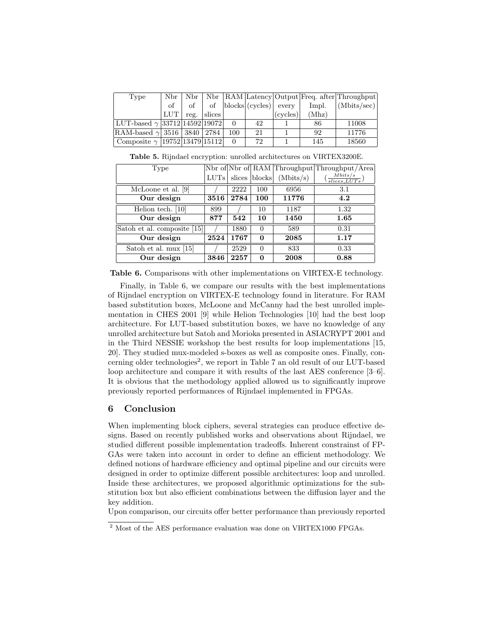| Type                                                     | Nbr        | Nbr  |        |          |                  |          |       | Nbr   RAM Latency Output Freq. after Throughput |
|----------------------------------------------------------|------------|------|--------|----------|------------------|----------|-------|-------------------------------------------------|
|                                                          | of         | οf   | of     |          | blocks  (cycles) | every    | Impl. | (Mbits/sec)                                     |
|                                                          | <b>LUT</b> | reg. | slices |          |                  | (cycles) | (Mhz) |                                                 |
| LUT-based $\gamma$ 33712 14592 19072                     |            |      |        | $\Omega$ | 42               |          | 86    | 11008                                           |
| $ {\rm RAM\text{-}based} \,\,\gamma $ 3516   3840   2784 |            |      |        | 100      | 21               |          | 92    | 11776                                           |
| Composite $\gamma$  19752 13479 15112                    |            |      |        |          | 72               |          | 145   | 18560                                           |

Table 5. Rijndael encryption: unrolled architectures on VIRTEX3200E.

| Type                        |      |        |          |           | Nbr of Nbr of RAM Throughput Throughput/Area |
|-----------------------------|------|--------|----------|-----------|----------------------------------------------|
|                             | LUTs | slices | blocks   | (Mbits/s) | $\frac{Mbits/s}{slices, LUTs}$               |
| McLoone et al. [9]          |      | 2222   | 100      | 6956      | 3.1                                          |
| Our design                  | 3516 | 2784   | 100      | 11776     | 4.2                                          |
| Helion tech. $[10]$         | 899  |        | 10       | 1187      | 1.32                                         |
| Our design                  | 877  | 542    | 10       | 1450      | 1.65                                         |
| Satoh et al. composite [15] |      | 1880   | $\theta$ | 589       | 0.31                                         |
| Our design                  | 2524 | 1767   | $\Omega$ | 2085      | 1.17                                         |
| Satoh et al. mux [15]       |      | 2529   | $\Omega$ | 833       | 0.33                                         |
| Our design                  | 3846 | 2257   | 0        | 2008      | 0.88                                         |

Table 6. Comparisons with other implementations on VIRTEX-E technology.

Finally, in Table 6, we compare our results with the best implementations of Rijndael encryption on VIRTEX-E technology found in literature. For RAM based substitution boxes, McLoone and McCanny had the best unrolled implementation in CHES 2001 [9] while Helion Technologies [10] had the best loop architecture. For LUT-based substitution boxes, we have no knowledge of any unrolled architecture but Satoh and Morioka presented in ASIACRYPT 2001 and in the Third NESSIE workshop the best results for loop implementations [15, 20]. They studied mux-modeled s-boxes as well as composite ones. Finally, concerning older technologies<sup>2</sup>, we report in Table 7 an old result of our LUT-based loop architecture and compare it with results of the last AES conference [3–6]. It is obvious that the methodology applied allowed us to significantly improve previously reported performances of Rijndael implemented in FPGAs.

## 6 Conclusion

When implementing block ciphers, several strategies can produce effective designs. Based on recently published works and observations about Rijndael, we studied different possible implementation tradeoffs. Inherent constrainst of FP-GAs were taken into account in order to define an efficient methodology. We defined notions of hardware efficiency and optimal pipeline and our circuits were designed in order to optimize different possible architectures: loop and unrolled. Inside these architectures, we proposed algorithmic optimizations for the substitution box but also efficient combinations between the diffusion layer and the key addition.

Upon comparison, our circuits offer better performance than previously reported

<sup>&</sup>lt;sup>2</sup> Most of the AES performance evaluation was done on VIRTEX1000 FPGAs.